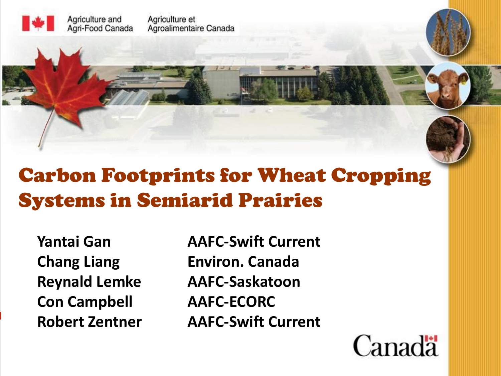

#### Carbon Footprints for Wheat Cropping Systems in Semiarid Prairies

**Con Campbell AAFC-ECORC**

**Yantai Gan AAFC-Swift Current Chang Liang Environ. Canada Reynald Lemke AAFC-Saskatoon Robert Zentner AAFC-Swift Current**

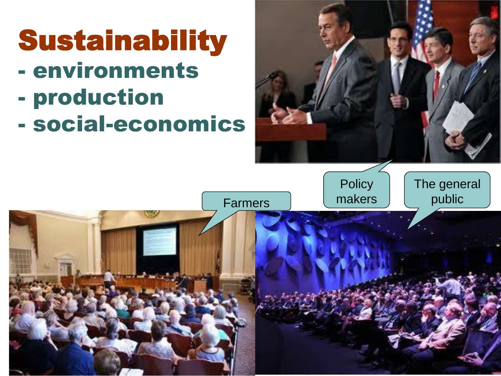



The general

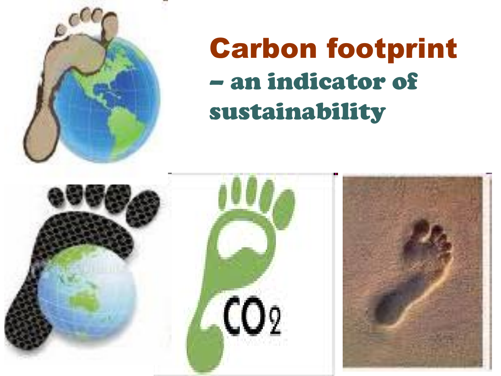

# Carbon footprint – an indicator of sustainability

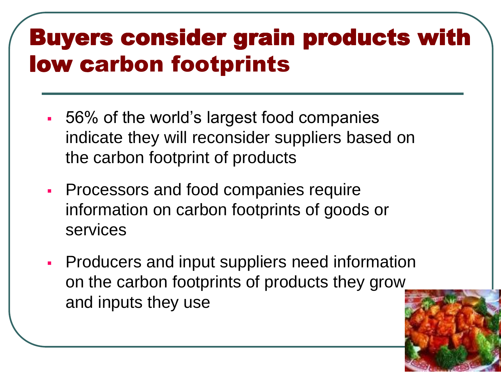# Buyers consider grain products with low carbon footprints

- 56% of the world's largest food companies indicate they will reconsider suppliers based on the carbon footprint of products
- **Processors and food companies require** information on carbon footprints of goods or services
- **Producers and input suppliers need information** on the carbon footprints of products they grow and inputs they use

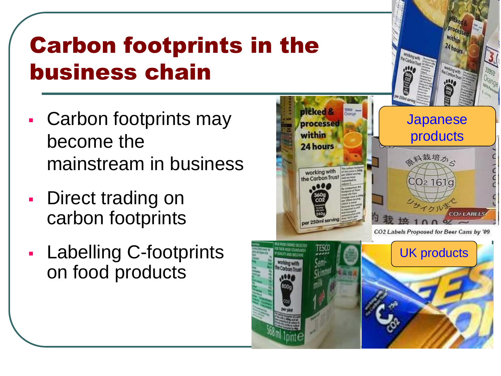

# Carbon footprints in the business chain

- Carbon footprints may become the mainstream in business
- Direct trading on carbon footprints
- Labelling C-footprints on food products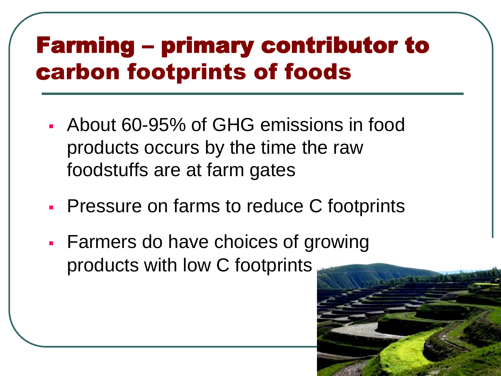### Farming – primary contributor to carbon footprints of foods

- About 60-95% of GHG emissions in food products occurs by the time the raw foodstuffs are at farm gates
- **Pressure on farms to reduce C footprints**
- Farmers do have choices of growing products with low C footprints

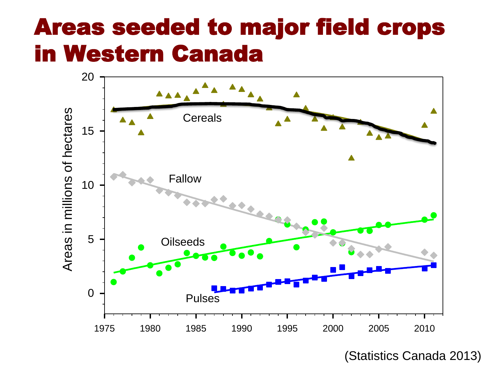### Areas seeded to major field crops in Western Canada



(Statistics Canada 2013)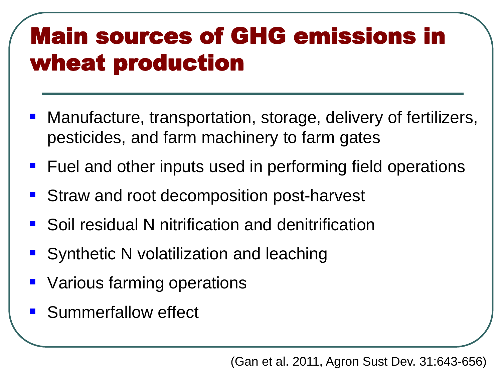# Main sources of GHG emissions in wheat production

- Manufacture, transportation, storage, delivery of fertilizers, pesticides, and farm machinery to farm gates
- **Fuel and other inputs used in performing field operations**
- Straw and root decomposition post-harvest
- **Soil residual N nitrification and denitrification**
- Synthetic N volatilization and leaching
- Various farming operations
- **Summerfallow effect**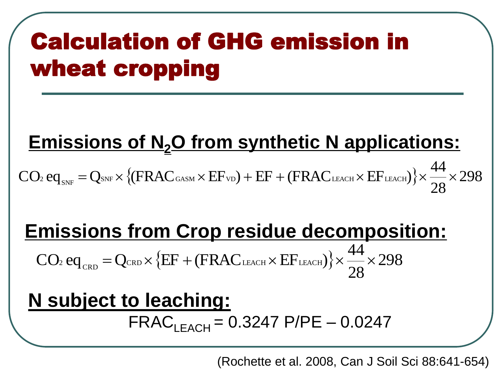# Calculation of GHG emission in wheat cropping

#### **Emissions of N2O from synthetic N applications:**

 $\{(\text{FRAC}_{\text{GASM}} \times \text{EF}_{\text{VD}}) + \text{EF} + (\text{FRAC}_{\text{LEACH}} \times \text{EF}_{\text{LEACH}})\}\times \frac{177}{20} \times 298$ 28  $\text{CO}_2 \text{ eq}_{\text{\tiny{SNF}}} = \text{Q}_{\text{\tiny{SNF}}} \times \left\{ (\text{FRAC}_{\text{GASM}} \times \text{EF}_{\text{VD}}) + \text{EF} + (\text{FRAC}_{\text{\tiny{LEACH}}} \times \text{EF}_{\text{\tiny{LEACH}}}) \right\} \times \frac{44}{28} \times$ 

#### **Emissions from Crop residue decomposition:**

 $\{EF + (FRAC<sub>LEACH</sub> × EF<sub>LEACH</sub>)\}\times \frac{14}{20} \times 298$ 28  $CO<sub>2</sub>$  eq<sub>crd</sub> = Q<sub>CRD</sub> × {EF + (FRAC<sub>LEACH</sub> × EF<sub>LEACH</sub>)} ×  $\frac{44}{28}$  ×

#### **N subject to leaching:**  $FRAC<sub>IFACH</sub> = 0.3247 P/PE - 0.0247$

(Rochette et al. 2008, Can J Soil Sci 88:641-654)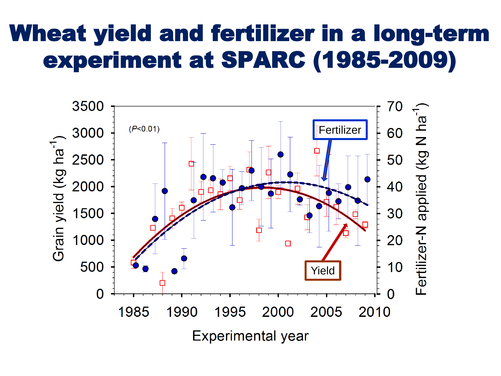# Wheat yield and fertilizer in a long-term experiment at SPARC (1985-2009)

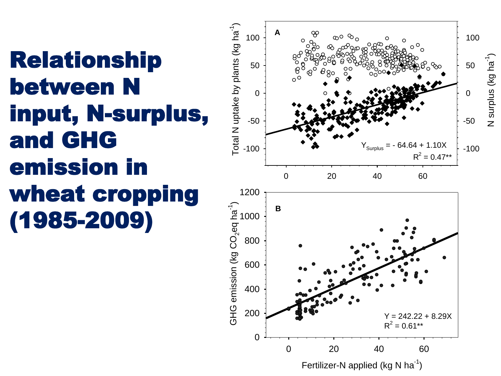# Relationship between N input, N-surplus, and GHG emission in wheat cropping (1985-2009)

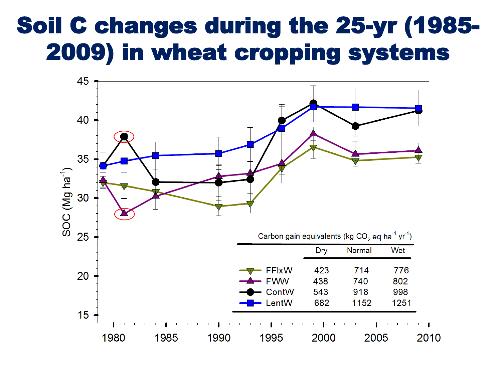### Soil C changes during the 25-yr (1985- 2009) in wheat cropping systems

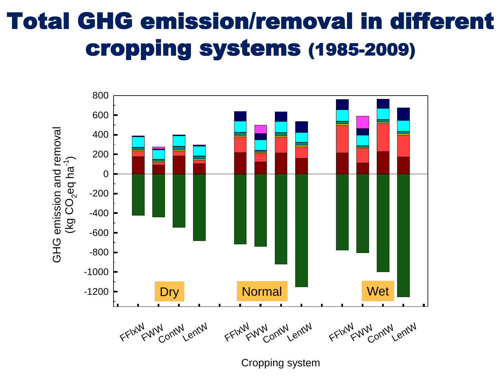# Total GHG emission/removal in different cropping systems (1985-2009)



Cropping system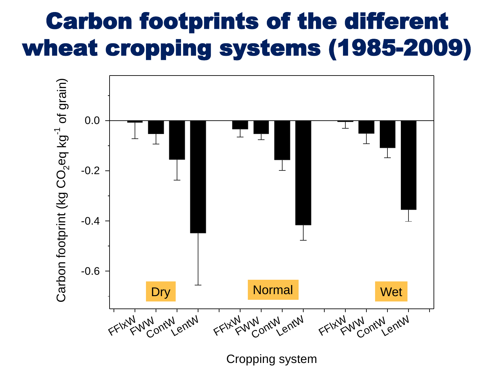# Carbon footprints of the different wheat cropping systems (1985-2009)



Cropping system